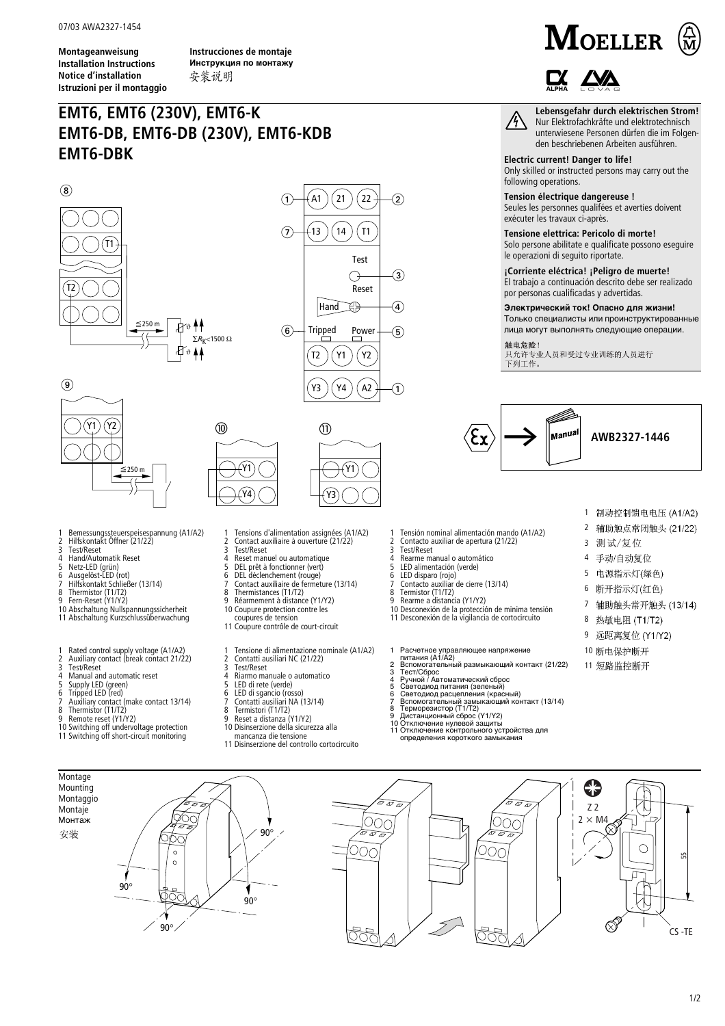**Montageanweisung Installation Instructions Notice d'installation Istruzioni per il montaggio**

**Instrucciones de montaje Инструкция по монтажу** 安装说明

## **EMT6, EMT6 (230V), EMT6-K EMT6-DB, EMT6-DB (230V), EMT6-KDB EMT6-DBK**

ϑ

ϑ

⑩





 $(21)(22)$ 

Y1

 $\widehat{A}$ 

5

1

 $\circled{3}$ 

 $\bigcap + (A1)(21)(22) + (2)$ 



**1 Bemessungssteuerspeisespannung (A1/A2) 2 Hilfskontakt Öffner (21/22)**

**9 Fern-Reset (Y1/Y2) 10 Abschaltung Nullspannungssicherheit 11 Abschaltung Kurzschlussüberwachung**

**1 Rated control supply voltage (A1/A2) 2 Auxiliary contact (break contact 21/22)**

**10 Switching off undervoltage protection 11 Switching off short-circuit monitoring**

**4 Manual and automatic reset 5 Supply LED (green) 6 Tripped LED (red) 7 Auxiliary contact (make contact 13/14)**

**8 Thermistor (T1/T2) 9 Remote reset (Y1/Y2)**

**3 Test/Reset 4 Hand/Automatik Reset 5 Netz-LED (grün) 6 Ausgelöst-LED (rot) 7 Hilfskontakt Schließer (13/14)**

**8** Thermistor (T1/T2)<br>**8** Thermistor (T1/T2)<br>**9** Eern-Reset (Y1/Y2)

**3 Test/Reset**



 $\bigcap$ 

- **1 Tensions d'alimentation assignées (A1/A2)**
- 
- **2 Contact auxiliaire à ouverture (21/22) 3 Test/Reset 4 Reset manuel ou automatique**
- 
- **5 DEL prêt à fonctionner (vert) 6 DEL déclenchement (rouge)**
- 
- **7 Contact auxiliaire de fermeture (13/14) 8 Thermistances (T1/T2)**
- 
- **9 Réarmement à distance (Y1/Y2) 10 Coupure protection contre les**
- 
- **coupures de tension 11 Coupure contrôle de court-circuit**
- **1 Tensione di alimentazione nominale (A1/A2)**<br> **2 Contatti ausiliari NC (21/22)**<br> **3 Test/Reset**<br> **4 Riamo manuale o automatico**
- 
- **2 Contatti ausiliari NC (21/22) 3 Test/Reset**
- **4 Riarmo manuale o automatico**
- **5 LED di rete (verde)**
- **6 LED di sgancio (rosso) 7 Contatti ausiliari NA (13/14)**
- 
- **8 Termistori (T1/T2) 9 Reset a distanza (Y1/Y2)**
- **10 Disinserzione della sicurezza alla**
- **mancanza die tensione**
- 





**Lebensgefahr durch elektrischen Strom!**  $\bigwedge$ 

**Nur Elektrofachkräfte und elektrotechnisch unterwiesene Personen dürfen die im Folgenden beschriebenen Arbeiten ausführen.**

**Electric current! Danger to life! Only skilled or instructed persons may carry out the following operations.**

## **Tension électrique dangereuse !**

**Seules les personnes qualifées et averties doivent exécuter les travaux ci-après. Tensione elettrica: Pericolo di morte!**

**Solo persone abilitate e qualificate possono eseguire le operazioni di seguito riportate.**

**¡Corriente eléctrica! ¡Peligro de muerte! El trabajo a continuación descrito debe ser realizado por personas cualificadas y advertidas.**

**Электрический ток! Опасно для жизни!** Только специалисты или проинструктированные

лица могут выполнять следующие операции.

触电危险!

只允许专业人员和受过专业训练的人员进行 下列工作。



**1 2 3**

**5 6 7**

4 手动/自动复位

测试/复位

制动控制馈电电压 (A1/A2) 辅助触点常闭触头 (21/22)

8 热敏电阻 (T1/T2) 9 远距离复位 (Y1/Y2) **10 11**

电源指示灯(绿色) 断开指示灯(红色) 辅助触头常开触头 (13/14)

- **1 Tensión nominal alimentación mando (A1/A2)**
- **2 Contacto auxiliar de apertura (21/22)**
- **3 Test/Reset 4 Rearme manual o automático**
- **5 LED alimentación (verde)**
- 
- **6 LED disparo (rojo) 7 Contacto auxiliar de cierre (13/14) 8 Termistor (T1/T2)**
- 
- 
- **9 Rearme a distancia (Y1/Y2) 10 Desconexión de la protección de minima tensión**
- **11 Desconexión de la vigilancia de cortocircuito**

- 
- 
- 
- 
- 
- 
- 
- 

199

**Montage Mounting** ₩ **Montaggio**  $\overline{\mathcal{F}_{\varpi_{\varDelta}}}$ h.  $\overline{z}$  $\sigma$   $\sigma$   $\sigma$ Z 2 **Montaje** ೧೧೯ Монтаж  $\overline{\text{OOC}}$  $\overline{\text{OOO}}$  $2 \times M4$ ⇆ 90° 安装  $\overline{\sigma_{\varpi}}$ চ ন  $\bigcirc$ DOC Ooc  $\circ$  $\circ$ 90° 90°  $\textcircled{S}$ 90°

55

CS -TE

- 
- 1 Расчетное управляющее напряжение питания (А1/А2)
- 
- 
- 
- 
- 
- 2 Вспомогательный размыкающий контакт (21/22)<br>3 Тест/Сброс<br>4 Ручной / Автоматический сброс<br>5 Светодиод питания (зеленый)<br>6 Светодиод питания (зеленый)<br>7 Вспомогательный замыкающий контакт (13/14)<br>7 Вспомогательный замыкаю